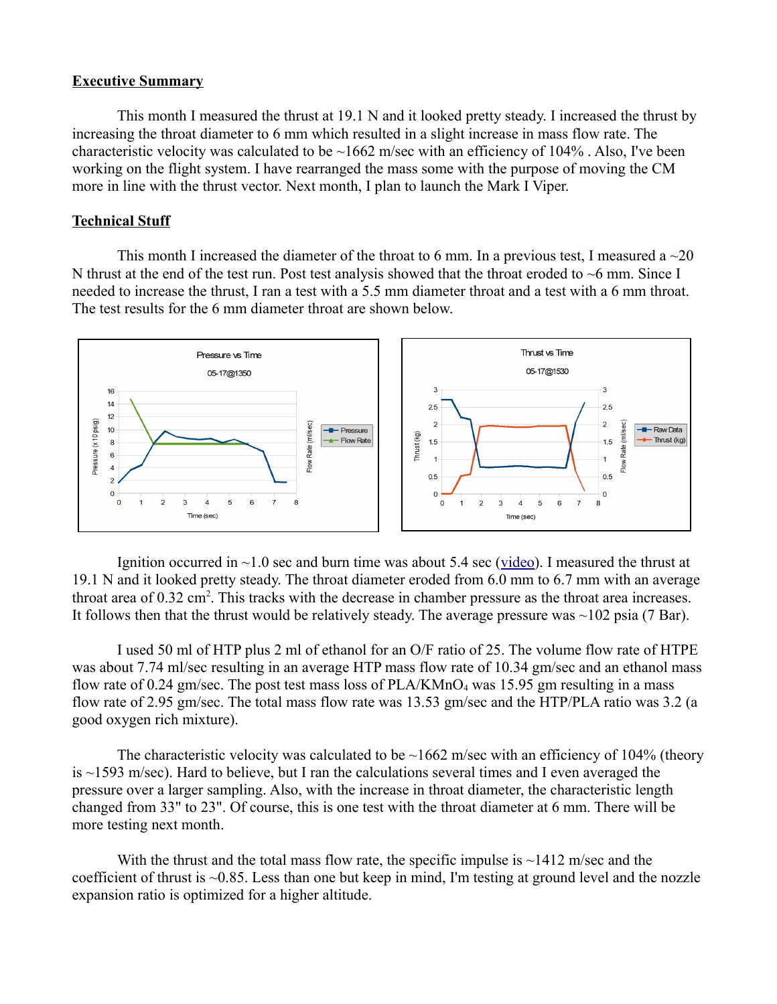## **Executive Summary**

This month I measured the thrust at 19.1 N and it looked pretty steady. I increased the thrust by increasing the throat diameter to 6 mm which resulted in a slight increase in mass flow rate. The characteristic velocity was calculated to be  $\sim$ 1662 m/sec with an efficiency of 104%. Also, I've been working on the flight system. I have rearranged the mass some with the purpose of moving the CM more in line with the thrust vector. Next month, I plan to launch the Mark I Viper.

## **Technical Stuff**

This month I increased the diameter of the throat to 6 mm. In a previous test, I measured a  $\sim$ 20 N thrust at the end of the test run. Post test analysis showed that the throat eroded to  $\sim$ 6 mm. Since I needed to increase the thrust, I ran a test with a 5.5 mm diameter throat and a test with a 6 mm throat. The test results for the 6 mm diameter throat are shown below.



Ignition occurred in  $\sim$ 1.0 sec and burn time was about 5.4 sec [\(video\)](https://rumble.com/v17imbi-20-n-thrust-in-may-2022.html). I measured the thrust at 19.1 N and it looked pretty steady. The throat diameter eroded from 6.0 mm to 6.7 mm with an average throat area of 0.32 cm<sup>2</sup>. This tracks with the decrease in chamber pressure as the throat area increases. It follows then that the thrust would be relatively steady. The average pressure was  $\sim$ 102 psia (7 Bar).

I used 50 ml of HTP plus 2 ml of ethanol for an O/F ratio of 25. The volume flow rate of HTPE was about 7.74 ml/sec resulting in an average HTP mass flow rate of 10.34 gm/sec and an ethanol mass flow rate of 0.24 gm/sec. The post test mass loss of  $PLA/KMnO<sub>4</sub>$  was 15.95 gm resulting in a mass flow rate of 2.95 gm/sec. The total mass flow rate was 13.53 gm/sec and the HTP/PLA ratio was 3.2 (a good oxygen rich mixture).

The characteristic velocity was calculated to be  $\sim$ 1662 m/sec with an efficiency of 104% (theory is  $\sim$ 1593 m/sec). Hard to believe, but I ran the calculations several times and I even averaged the pressure over a larger sampling. Also, with the increase in throat diameter, the characteristic length changed from 33" to 23". Of course, this is one test with the throat diameter at 6 mm. There will be more testing next month.

With the thrust and the total mass flow rate, the specific impulse is  $\sim$ 1412 m/sec and the coefficient of thrust is ~0.85. Less than one but keep in mind, I'm testing at ground level and the nozzle expansion ratio is optimized for a higher altitude.